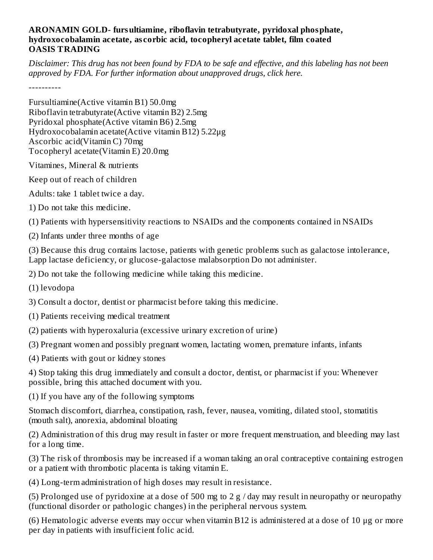## **ARONAMIN GOLD- fursultiamine, riboflavin tetrabutyrate, pyridoxal phosphate, hydroxocobalamin acetate, as corbic acid, tocopheryl acetate tablet, film coated OASIS TRADING**

Disclaimer: This drug has not been found by FDA to be safe and effective, and this labeling has not been *approved by FDA. For further information about unapproved drugs, click here.*

----------

Fursultiamine(Active vitamin B1) 50.0mg Riboflavin tetrabutyrate(Active vitamin B2) 2.5mg Pyridoxal phosphate(Active vitamin B6) 2.5mg Hydroxocobalamin acetate(Active vitamin B12) 5.22μg Ascorbic acid(Vitamin C) 70mg Tocopheryl acetate(Vitamin E) 20.0mg

- Vitamines, Mineral & nutrients
- Keep out of reach of children
- Adults: take 1 tablet twice a day.
- 1) Do not take this medicine.
- (1) Patients with hypersensitivity reactions to NSAIDs and the components contained in NSAIDs
- (2) Infants under three months of age

(3) Because this drug contains lactose, patients with genetic problems such as galactose intolerance, Lapp lactase deficiency, or glucose-galactose malabsorption Do not administer.

2) Do not take the following medicine while taking this medicine.

(1) levodopa

3) Consult a doctor, dentist or pharmacist before taking this medicine.

- (1) Patients receiving medical treatment
- (2) patients with hyperoxaluria (excessive urinary excretion of urine)

(3) Pregnant women and possibly pregnant women, lactating women, premature infants, infants

(4) Patients with gout or kidney stones

4) Stop taking this drug immediately and consult a doctor, dentist, or pharmacist if you: Whenever possible, bring this attached document with you.

(1) If you have any of the following symptoms

Stomach discomfort, diarrhea, constipation, rash, fever, nausea, vomiting, dilated stool, stomatitis (mouth salt), anorexia, abdominal bloating

(2) Administration of this drug may result in faster or more frequent menstruation, and bleeding may last for a long time.

(3) The risk of thrombosis may be increased if a woman taking an oral contraceptive containing estrogen or a patient with thrombotic placenta is taking vitamin E.

(4) Long-term administration of high doses may result in resistance.

(5) Prolonged use of pyridoxine at a dose of 500 mg to 2 g / day may result in neuropathy or neuropathy (functional disorder or pathologic changes) in the peripheral nervous system.

(6) Hematologic adverse events may occur when vitamin B12 is administered at a dose of 10 μg or more per day in patients with insufficient folic acid.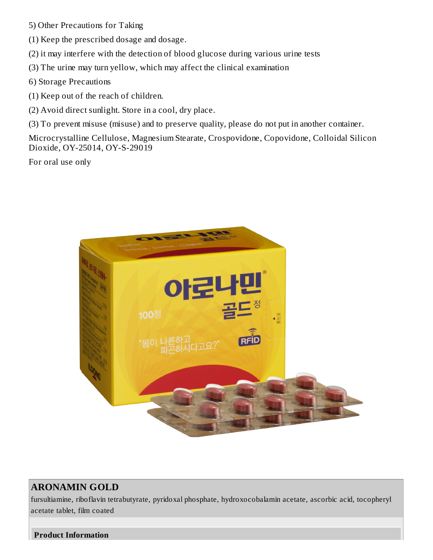- 5) Other Precautions for Taking
- (1) Keep the prescribed dosage and dosage.
- (2) it may interfere with the detection of blood glucose during various urine tests
- (3) The urine may turn yellow, which may affect the clinical examination
- 6) Storage Precautions
- (1) Keep out of the reach of children.
- (2) Avoid direct sunlight. Store in a cool, dry place.
- (3) To prevent misuse (misuse) and to preserve quality, please do not put in another container.

Microcrystalline Cellulose, Magnesium Stearate, Crospovidone, Copovidone, Colloidal Silicon Dioxide, OY-25014, OY-S-29019

For oral use only



## **ARONAMIN GOLD**

fursultiamine, riboflavin tetrabutyrate, pyridoxal phosphate, hydroxocobalamin acetate, ascorbic acid, tocopheryl acetate tablet, film coated

**Product Information**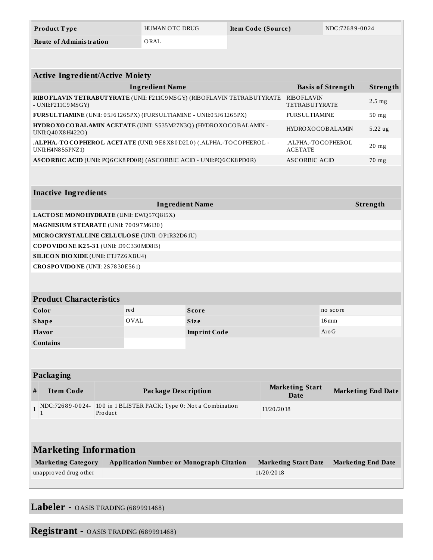| <b>Product Type</b>            | HUMAN OTC DRUG | Item Code (Source) | NDC:72689-0024 |
|--------------------------------|----------------|--------------------|----------------|
| <b>Route of Administration</b> | ORAL           |                    |                |

| <b>Active Ingredient/Active Moiety</b>                                                         |                                           |                  |  |
|------------------------------------------------------------------------------------------------|-------------------------------------------|------------------|--|
| <b>Ingredient Name</b>                                                                         | <b>Basis of Strength</b>                  | Strength         |  |
| RIBO FLAVIN TETRABUTYRATE (UNII: F211C9MSGY) (RIBOFLAVIN TETRABUTYRATE<br>- $UNII: F211C9MSGY$ | <b>RIBOFLAVIN</b><br><b>TETRABUTYRATE</b> | $2.5 \text{ mg}$ |  |
| FURSULTIAMINE (UNII: 05J61265PX) (FURSULTIAMINE - UNII:05J61265PX)                             | <b>FURSULTIAMINE</b>                      | $50$ mg          |  |
| HYDRO XO COBALAMIN ACETATE (UNII: S535M27N3Q) (HYDRO XOCOBALAMIN -<br>UNII: Q40 X8 H422O)      | <b>HYDROXOCOBALAMIN</b>                   | $5.22$ ug        |  |
| .ALPHA.-TOCOPHEROL ACETATE (UNII: 9E8X80D2L0) (.ALPHA.-TOCOPHEROL -<br>UNII:H4N855PNZ1)        | .ALPHA.-TOCOPHEROL<br><b>ACETATE</b>      | $20$ mg          |  |
| ASCORBIC ACID (UNII: PQ6CK8PD0R) (ASCORBIC ACID - UNII:PQ6CK8PD0R)                             | ASCORBIC ACID                             | $70$ mg          |  |
|                                                                                                |                                           |                  |  |

| <b>Inactive Ingredients</b>                    |          |  |  |
|------------------------------------------------|----------|--|--|
| <b>Ingredient Name</b>                         | Strength |  |  |
| LACTOSE MONOHYDRATE (UNII: EWQ57Q815X)         |          |  |  |
| <b>MAGNESIUM STEARATE (UNII: 70097M6I30)</b>   |          |  |  |
| MICRO CRYSTALLINE CELLULOSE (UNII: OP1R32D61U) |          |  |  |
| COPOVIDONE K25-31 (UNII: D9C330MD8B)           |          |  |  |
| <b>SILICON DIO XIDE (UNII: ETJ7Z6XBU4)</b>     |          |  |  |
| CROSPOVIDONE (UNII: 2S7830E561)                |          |  |  |

| <b>Product Characteristics</b> |      |                     |                    |
|--------------------------------|------|---------------------|--------------------|
| Color                          | red  | Score               | no score           |
| <b>Shape</b>                   | OVAL | <b>Size</b>         | $16 \,\mathrm{mm}$ |
| Flavor                         |      | <b>Imprint Code</b> | $\rm{Aro}\,G$      |
| <b>Contains</b>                |      |                     |                    |

|  | <b>Packaging</b> |
|--|------------------|
|  |                  |

|                              | - ------                  |                                                                             |                                |                           |  |
|------------------------------|---------------------------|-----------------------------------------------------------------------------|--------------------------------|---------------------------|--|
| #                            | <b>Item Code</b>          | Package Description                                                         | <b>Marketing Start</b><br>Date | <b>Marketing End Date</b> |  |
|                              |                           | NDC:72689-0024- 100 in 1 BLISTER PACK; Type 0: Not a Combination<br>Product | 11/20/2018                     |                           |  |
|                              |                           |                                                                             |                                |                           |  |
| <b>Marketing Information</b> |                           |                                                                             |                                |                           |  |
|                              | <b>Marketing Category</b> | <b>Application Number or Monograph Citation</b>                             | <b>Marketing Start Date</b>    | <b>Marketing End Date</b> |  |
|                              | unapproved drug other     |                                                                             | 11/20/2018                     |                           |  |

**Labeler -** OASIS TRADING (689991468)